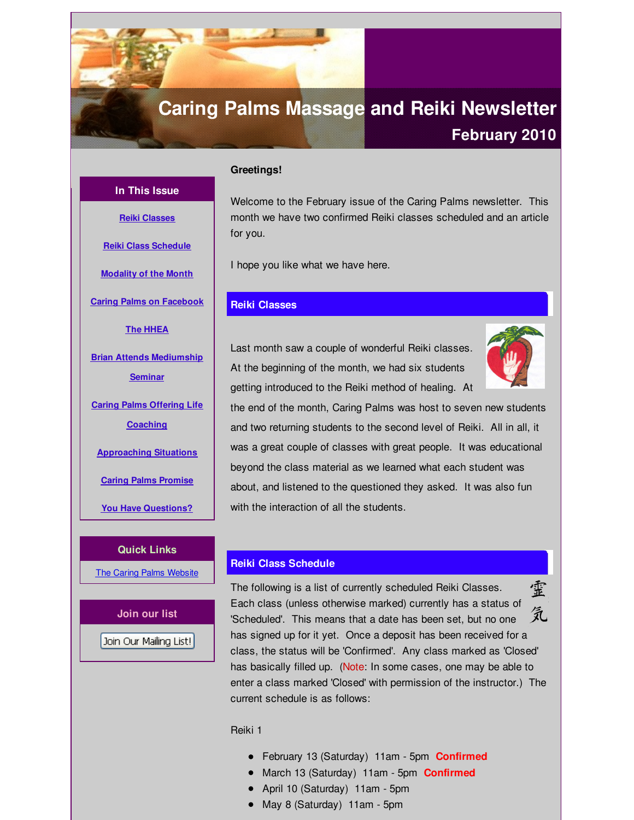# <span id="page-0-0"></span>**Caring Palms Massage and Reiki Newsletter**

# **February 2010**

# **Greetings!**

Welcome to the February issue of the Caring Palms newsletter. This month we have two confirmed Reiki classes scheduled and an article for you.

I hope you like what we have here.

# **Reiki Classes**

Last month saw a couple of wonderful Reiki classes. At the beginning of the month, we had six students getting introduced to the Reiki method of healing. At



the end of the month, Caring Palms was host to seven new students and two returning students to the second level of Reiki. All in all, it was a great couple of classes with great people. It was educational beyond the class material as we learned what each student was about, and listened to the questioned they asked. It was also fun with the interaction of all the students.

# **Reiki Class Schedule**

霊 The following is a list of currently scheduled Reiki Classes. Each class (unless otherwise marked) currently has a status of 気 'Scheduled'. This means that a date has been set, but no one has signed up for it yet. Once a deposit has been received for a class, the status will be 'Confirmed'. Any class marked as 'Closed' has basically filled up. (Note: In some cases, one may be able to enter a class marked 'Closed' with permission of the instructor.) The current schedule is as follows:

#### Reiki 1

- February 13 (Saturday) 11am 5pm **Confirmed**
- March 13 (Saturday) 11am 5pm **Confirmed**
- April 10 (Saturday) 11am 5pm
- May 8 (Saturday) 11am 5pm

**Reiki Class [Schedule](#page-0-0) [Modality](#page-0-0) of the Month Caring Palms on [Facebook](#page-0-0) The [HHEA](#page-0-0) Brian Attends [Mediumship](#page-0-0) Seminar Caring Palms Offering Life [Coaching](#page-0-0) [Approaching](#page-0-0) Situations Caring Palms [Promise](#page-0-0)**

**In This Issue**

**Reiki [Classes](#page-0-0)**

# **Quick Links**

**You Have [Questions?](#page-0-0)**

The Caring Palms [Website](http://r20.rs6.net/tn.jsp?f=001y1ltD-1ldJDzDiVwNHG-Es5HooYJqU2RTJRjSvwn_LiyjeQXwVNZuB126ykjyBGGvkmbwLmKAt-dBS9Sfs6eXX0PoLuMTJyQb6ofm3wA3ElJB85t9oCOElL2tdrdo4Vvwk2mQBPE1VrFxDgwx0nRnmWVtqKFCKzUCU6-taYViB51SYc7ie3iSw==&c=&ch=)

**Join our list**

Join Our Mailing List!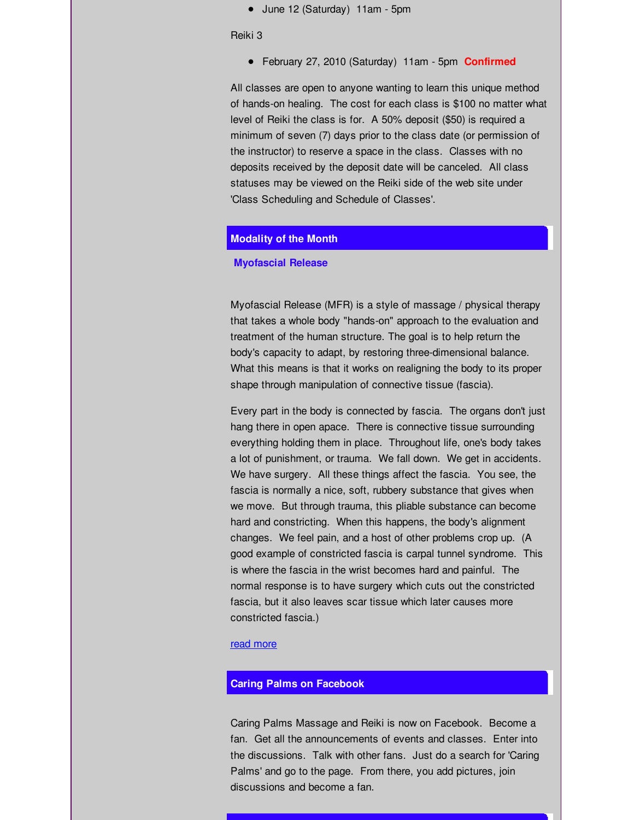June 12 (Saturday) 11am - 5pm

Reiki 3

February 27, 2010 (Saturday) 11am - 5pm **Confirmed**

All classes are open to anyone wanting to learn this unique method of hands-on healing. The cost for each class is \$100 no matter what level of Reiki the class is for. A 50% deposit (\$50) is required a minimum of seven (7) days prior to the class date (or permission of the instructor) to reserve a space in the class. Classes with no deposits received by the deposit date will be canceled. All class statuses may be viewed on the Reiki side of the web site under 'Class Scheduling and Schedule of Classes'.

# **Modality of the Month**

#### **Myofascial Release**

Myofascial Release (MFR) is a style of massage / physical therapy that takes a whole body "hands-on" approach to the evaluation and treatment of the human structure. The goal is to help return the body's capacity to adapt, by restoring three-dimensional balance. What this means is that it works on realigning the body to its proper shape through manipulation of connective tissue (fascia).

Every part in the body is connected by fascia. The organs don't just hang there in open apace. There is connective tissue surrounding everything holding them in place. Throughout life, one's body takes a lot of punishment, or trauma. We fall down. We get in accidents. We have surgery. All these things affect the fascia. You see, the fascia is normally a nice, soft, rubbery substance that gives when we move. But through trauma, this pliable substance can become hard and constricting. When this happens, the body's alignment changes. We feel pain, and a host of other problems crop up. (A good example of constricted fascia is carpal tunnel syndrome. This is where the fascia in the wrist becomes hard and painful. The normal response is to have surgery which cuts out the constricted fascia, but it also leaves scar tissue which later causes more constricted fascia.)

#### read [more](http://r20.rs6.net/tn.jsp?f=001y1ltD-1ldJDzDiVwNHG-Es5HooYJqU2RTJRjSvwn_LiyjeQXwVNZuAObx6XzbZBIZVY_njm0Zy2nR6_WXCXoEikKRD47rU81GuOWec1hIWpR4cFrlimw5qJInH3zHzl4QqIrcZ-aRFkgSSJyi7mGtiqeLIm5mSmNrpwzOoCbmx65f1ohjfH1xz5N1sypc6vEE6CqvXNoz3k=&c=&ch=)

# **Caring Palms on Facebook**

Caring Palms Massage and Reiki is now on Facebook. Become a fan. Get all the announcements of events and classes. Enter into the discussions. Talk with other fans. Just do a search for 'Caring Palms' and go to the page. From there, you add pictures, join discussions and become a fan.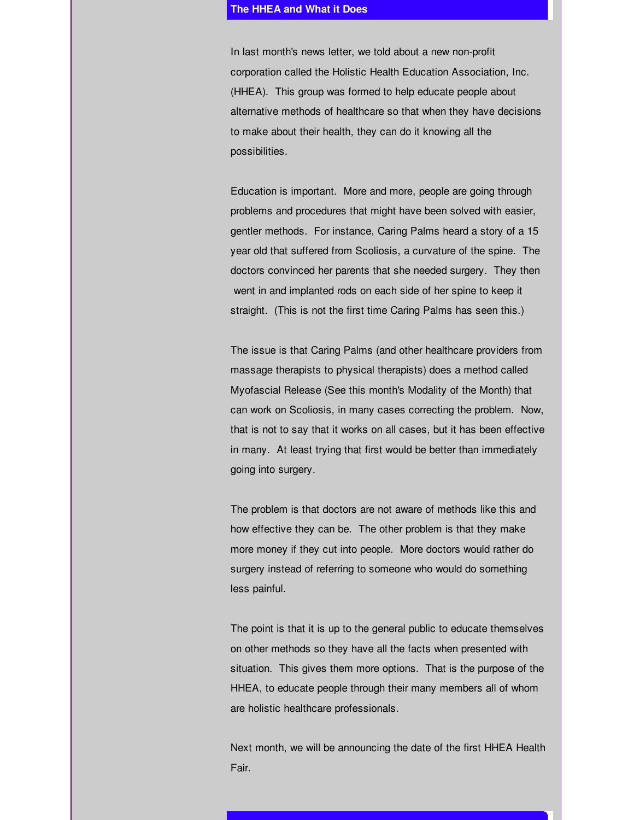#### **The HHEA and What it Does**

In last month's news letter, we told about a new non-profit corporation called the Holistic Health Education Association, Inc. (HHEA). This group was formed to help educate people about alternative methods of healthcare so that when they have decisions to make about their health, they can do it knowing all the possibilities.

Education is important. More and more, people are going through problems and procedures that might have been solved with easier, gentler methods. For instance, Caring Palms heard a story of a 15 year old that suffered from Scoliosis, a curvature of the spine. The doctors convinced her parents that she needed surgery. They then went in and implanted rods on each side of her spine to keep it straight. (This is not the first time Caring Palms has seen this.)

The issue is that Caring Palms (and other healthcare providers from massage therapists to physical therapists) does a method called Myofascial Release (See this month's Modality of the Month) that can work on Scoliosis, in many cases correcting the problem. Now, that is not to say that it works on all cases, but it has been effective in many. At least trying that first would be better than immediately going into surgery.

The problem is that doctors are not aware of methods like this and how effective they can be. The other problem is that they make more money if they cut into people. More doctors would rather do surgery instead of referring to someone who would do something less painful.

The point is that it is up to the general public to educate themselves on other methods so they have all the facts when presented with situation. This gives them more options. That is the purpose of the HHEA, to educate people through their many members all of whom are holistic healthcare professionals.

Next month, we will be announcing the date of the first HHEA Health Fair.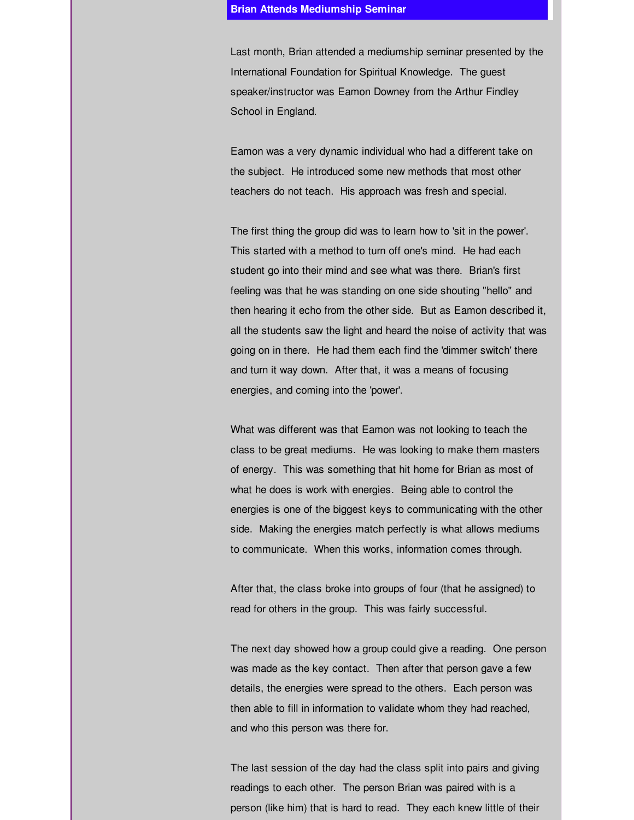#### **Brian Attends Mediumship Seminar**

Last month, Brian attended a mediumship seminar presented by the International Foundation for Spiritual Knowledge. The guest speaker/instructor was Eamon Downey from the Arthur Findley School in England.

Eamon was a very dynamic individual who had a different take on the subject. He introduced some new methods that most other teachers do not teach. His approach was fresh and special.

The first thing the group did was to learn how to 'sit in the power'. This started with a method to turn off one's mind. He had each student go into their mind and see what was there. Brian's first feeling was that he was standing on one side shouting "hello" and then hearing it echo from the other side. But as Eamon described it, all the students saw the light and heard the noise of activity that was going on in there. He had them each find the 'dimmer switch' there and turn it way down. After that, it was a means of focusing energies, and coming into the 'power'.

What was different was that Eamon was not looking to teach the class to be great mediums. He was looking to make them masters of energy. This was something that hit home for Brian as most of what he does is work with energies. Being able to control the energies is one of the biggest keys to communicating with the other side. Making the energies match perfectly is what allows mediums to communicate. When this works, information comes through.

After that, the class broke into groups of four (that he assigned) to read for others in the group. This was fairly successful.

The next day showed how a group could give a reading. One person was made as the key contact. Then after that person gave a few details, the energies were spread to the others. Each person was then able to fill in information to validate whom they had reached, and who this person was there for.

The last session of the day had the class split into pairs and giving readings to each other. The person Brian was paired with is a person (like him) that is hard to read. They each knew little of their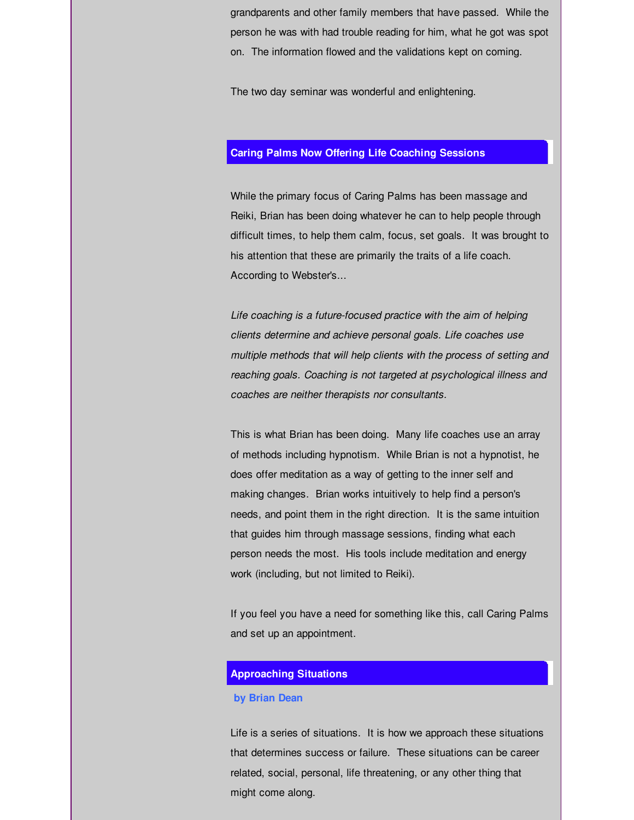grandparents and other family members that have passed. While the person he was with had trouble reading for him, what he got was spot on. The information flowed and the validations kept on coming.

The two day seminar was wonderful and enlightening.

# **Caring Palms Now Offering Life Coaching Sessions**

While the primary focus of Caring Palms has been massage and Reiki, Brian has been doing whatever he can to help people through difficult times, to help them calm, focus, set goals. It was brought to his attention that these are primarily the traits of a life coach. According to Webster's...

*Life coaching is a future-focused practice with the aim of helping clients determine and achieve personal goals. Life coaches use multiple methods that will help clients with the process of setting and reaching goals. Coaching is not targeted at psychological illness and coaches are neither therapists nor consultants.*

This is what Brian has been doing. Many life coaches use an array of methods including hypnotism. While Brian is not a hypnotist, he does offer meditation as a way of getting to the inner self and making changes. Brian works intuitively to help find a person's needs, and point them in the right direction. It is the same intuition that guides him through massage sessions, finding what each person needs the most. His tools include meditation and energy work (including, but not limited to Reiki).

If you feel you have a need for something like this, call Caring Palms and set up an appointment.

#### **Approaching Situations**

#### **by Brian Dean**

Life is a series of situations. It is how we approach these situations that determines success or failure. These situations can be career related, social, personal, life threatening, or any other thing that might come along.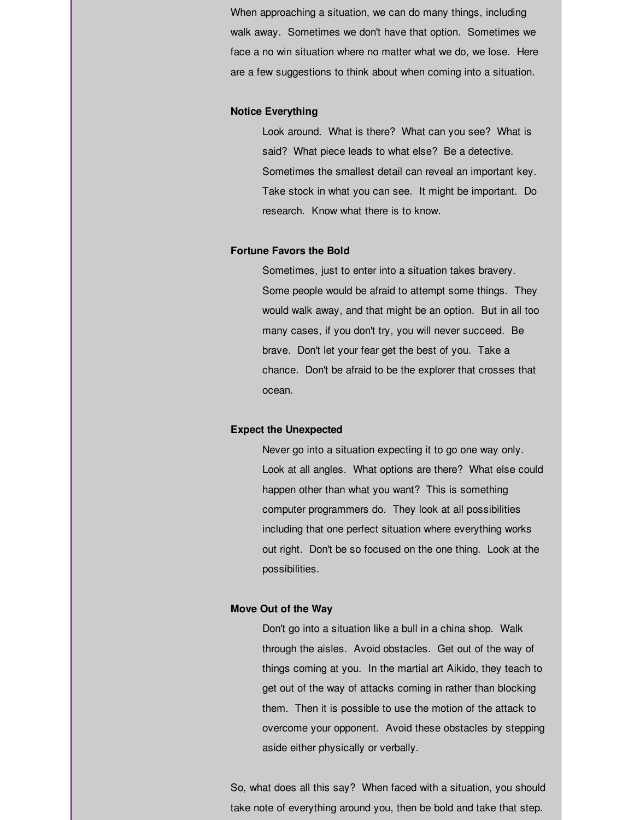When approaching a situation, we can do many things, including walk away. Sometimes we don't have that option. Sometimes we face a no win situation where no matter what we do, we lose. Here are a few suggestions to think about when coming into a situation.

#### **Notice Everything**

Look around. What is there? What can you see? What is said? What piece leads to what else? Be a detective. Sometimes the smallest detail can reveal an important key. Take stock in what you can see. It might be important. Do research. Know what there is to know.

#### **Fortune Favors the Bold**

Sometimes, just to enter into a situation takes bravery. Some people would be afraid to attempt some things. They would walk away, and that might be an option. But in all too many cases, if you don't try, you will never succeed. Be brave. Don't let your fear get the best of you. Take a chance. Don't be afraid to be the explorer that crosses that ocean.

#### **Expect the Unexpected**

Never go into a situation expecting it to go one way only. Look at all angles. What options are there? What else could happen other than what you want? This is something computer programmers do. They look at all possibilities including that one perfect situation where everything works out right. Don't be so focused on the one thing. Look at the possibilities.

# **Move Out of the Way**

Don't go into a situation like a bull in a china shop. Walk through the aisles. Avoid obstacles. Get out of the way of things coming at you. In the martial art Aikido, they teach to get out of the way of attacks coming in rather than blocking them. Then it is possible to use the motion of the attack to overcome your opponent. Avoid these obstacles by stepping aside either physically or verbally.

So, what does all this say? When faced with a situation, you should take note of everything around you, then be bold and take that step.